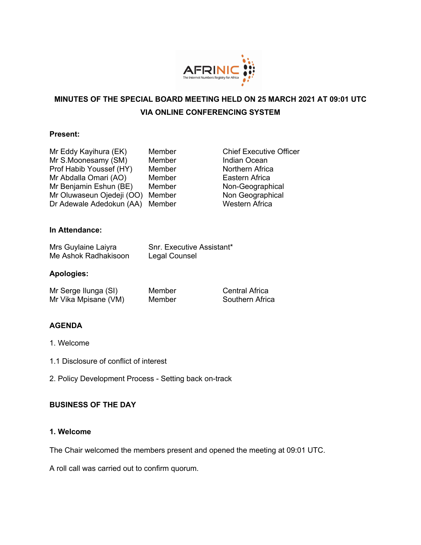

# **MINUTES OF THE SPECIAL BOARD MEETING HELD ON 25 MARCH 2021 AT 09:01 UTC VIA ONLINE CONFERENCING SYSTEM**

#### **Present:**

| Member |
|--------|
| Member |
| Member |
| Member |
| Member |
| Member |
| Member |
|        |

**Chief Executive Officer** Indian Ocean Northern Africa Eastern Africa Non-Geographical Non Geographical Western Africa

## **In Attendance:**

| Mrs Guylaine Laiyra  | Snr. Executive Assistant* |
|----------------------|---------------------------|
| Me Ashok Radhakisoon | Legal Counsel             |

#### **Apologies:**

| Mr Serge Ilunga (SI) |  |
|----------------------|--|
| Mr Vika Mpisane (VM) |  |

Member Central Africa Member Southern Africa

## **AGENDA**

- 1. Welcome
- 1.1 Disclosure of conflict of interest
- 2. Policy Development Process Setting back on-track

## **BUSINESS OF THE DAY**

#### **1. Welcome**

The Chair welcomed the members present and opened the meeting at 09:01 UTC.

A roll call was carried out to confirm quorum.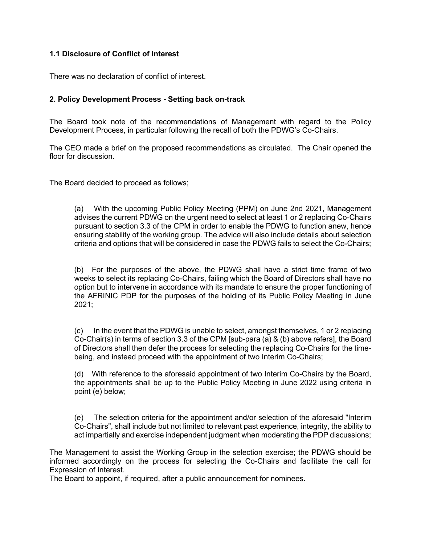# **1.1 Disclosure of Conflict of Interest**

There was no declaration of conflict of interest.

# **2. Policy Development Process - Setting back on-track**

The Board took note of the recommendations of Management with regard to the Policy Development Process, in particular following the recall of both the PDWG's Co-Chairs.

The CEO made a brief on the proposed recommendations as circulated. The Chair opened the floor for discussion.

The Board decided to proceed as follows;

(a) With the upcoming Public Policy Meeting (PPM) on June 2nd 2021, Management advises the current PDWG on the urgent need to select at least 1 or 2 replacing Co-Chairs pursuant to section 3.3 of the CPM in order to enable the PDWG to function anew, hence ensuring stability of the working group. The advice will also include details about selection criteria and options that will be considered in case the PDWG fails to select the Co-Chairs;

(b) For the purposes of the above, the PDWG shall have a strict time frame of two weeks to select its replacing Co-Chairs, failing which the Board of Directors shall have no option but to intervene in accordance with its mandate to ensure the proper functioning of the AFRINIC PDP for the purposes of the holding of its Public Policy Meeting in June 2021;

(c) In the event that the PDWG is unable to select, amongst themselves, 1 or 2 replacing Co-Chair(s) in terms of section 3.3 of the CPM [sub-para (a) & (b) above refers], the Board of Directors shall then defer the process for selecting the replacing Co-Chairs for the timebeing, and instead proceed with the appointment of two Interim Co-Chairs;

(d) With reference to the aforesaid appointment of two Interim Co-Chairs by the Board, the appointments shall be up to the Public Policy Meeting in June 2022 using criteria in point (e) below;

(e) The selection criteria for the appointment and/or selection of the aforesaid "Interim Co-Chairs", shall include but not limited to relevant past experience, integrity, the ability to act impartially and exercise independent judgment when moderating the PDP discussions;

The Management to assist the Working Group in the selection exercise; the PDWG should be informed accordingly on the process for selecting the Co-Chairs and facilitate the call for Expression of Interest.

The Board to appoint, if required, after a public announcement for nominees.